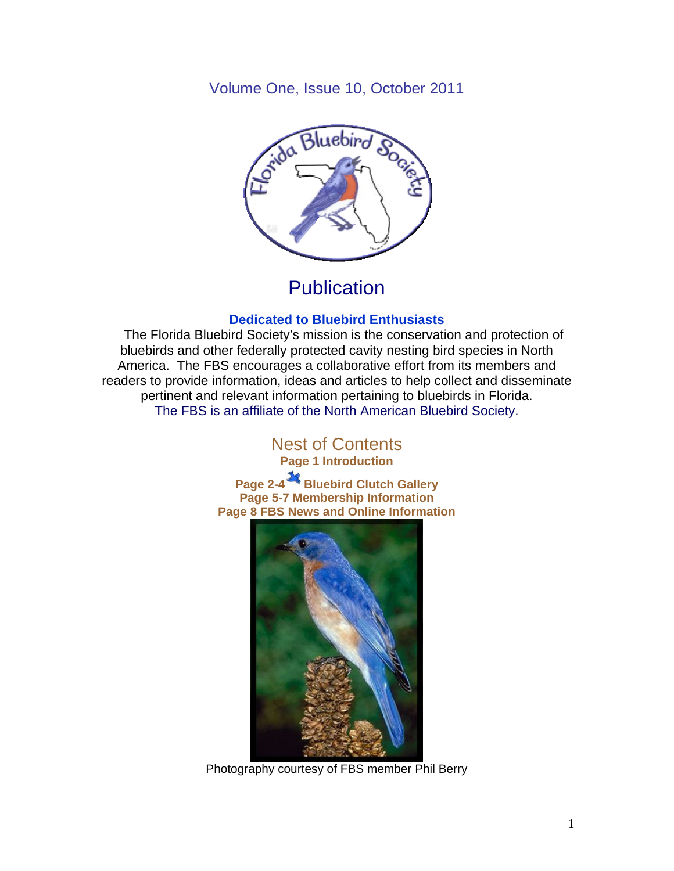Volume One, Issue 10, October 2011



# **Publication**

# **Dedicated to Bluebird Enthusiasts**

 The Florida Bluebird Society's mission is the conservation and protection of bluebirds and other federally protected cavity nesting bird species in North America. The FBS encourages a collaborative effort from its members and readers to provide information, ideas and articles to help collect and disseminate pertinent and relevant information pertaining to bluebirds in Florida. The FBS is an affiliate of the North American Bluebird Society.

> Nest of Contents **Page 1 Introduction**

**Page 2-4 Bluebird Clutch Gallery Page 5-7 Membership Information Page 8 FBS News and Online Information** 



Photography courtesy of FBS member Phil Berry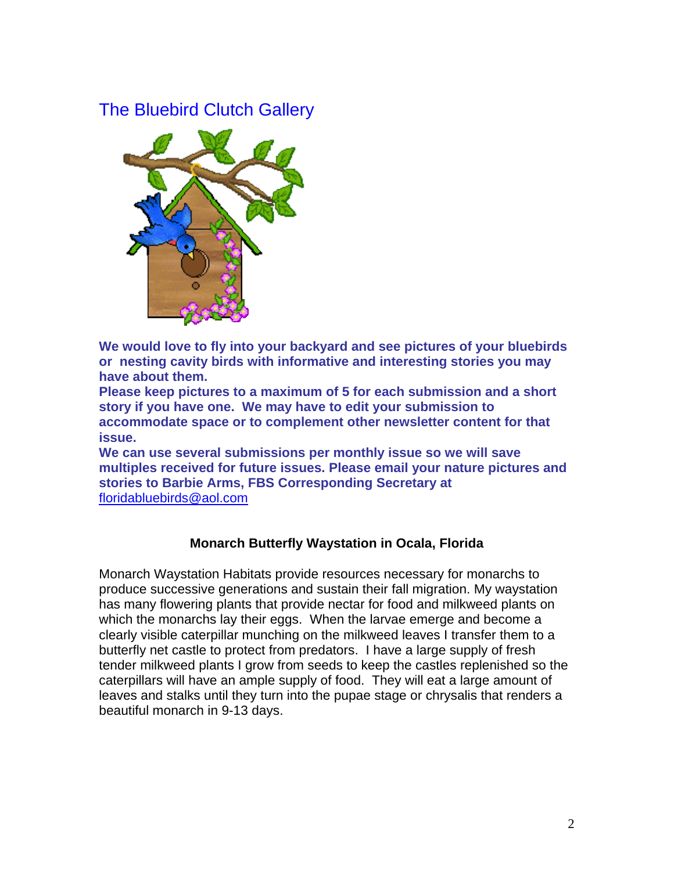# The Bluebird Clutch Gallery



**We would love to fly into your backyard and see pictures of your bluebirds or nesting cavity birds with informative and interesting stories you may have about them.** 

**Please keep pictures to a maximum of 5 for each submission and a short story if you have one. We may have to edit your submission to accommodate space or to complement other newsletter content for that issue.** 

**We can use several submissions per monthly issue so we will save multiples received for future issues. Please email your nature pictures and stories to Barbie Arms, FBS Corresponding Secretary at** floridabluebirds@aol.com

# **Monarch Butterfly Waystation in Ocala, Florida**

Monarch Waystation Habitats provide resources necessary for monarchs to produce successive generations and sustain their fall migration. My waystation has many flowering plants that provide nectar for food and milkweed plants on which the monarchs lay their eggs. When the larvae emerge and become a clearly visible caterpillar munching on the milkweed leaves I transfer them to a butterfly net castle to protect from predators. I have a large supply of fresh tender milkweed plants I grow from seeds to keep the castles replenished so the caterpillars will have an ample supply of food. They will eat a large amount of leaves and stalks until they turn into the pupae stage or chrysalis that renders a beautiful monarch in 9-13 days.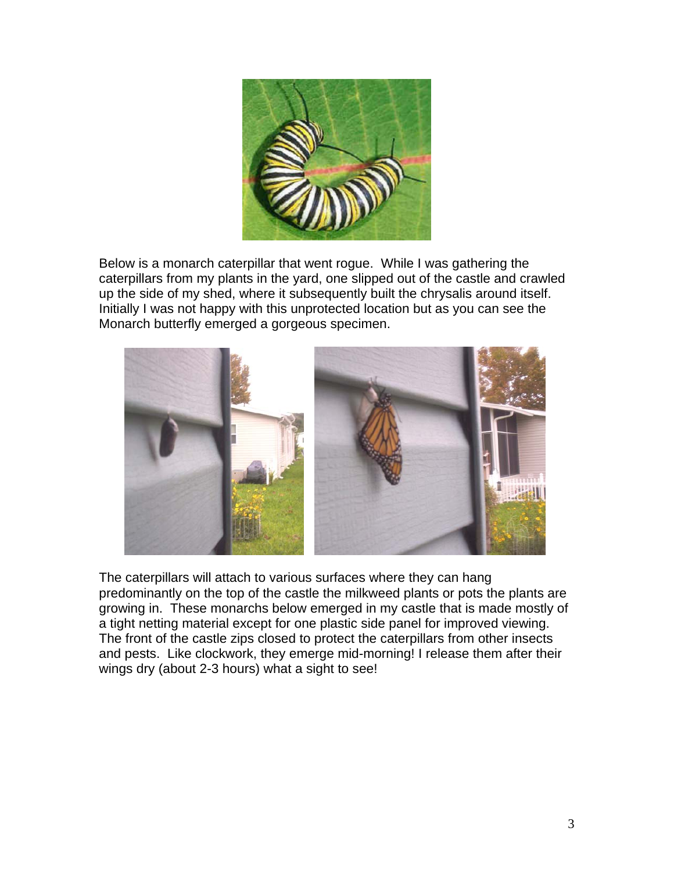

Below is a monarch caterpillar that went rogue. While I was gathering the caterpillars from my plants in the yard, one slipped out of the castle and crawled up the side of my shed, where it subsequently built the chrysalis around itself. Initially I was not happy with this unprotected location but as you can see the Monarch butterfly emerged a gorgeous specimen.



The caterpillars will attach to various surfaces where they can hang predominantly on the top of the castle the milkweed plants or pots the plants are growing in. These monarchs below emerged in my castle that is made mostly of a tight netting material except for one plastic side panel for improved viewing. The front of the castle zips closed to protect the caterpillars from other insects and pests. Like clockwork, they emerge mid-morning! I release them after their wings dry (about 2-3 hours) what a sight to see!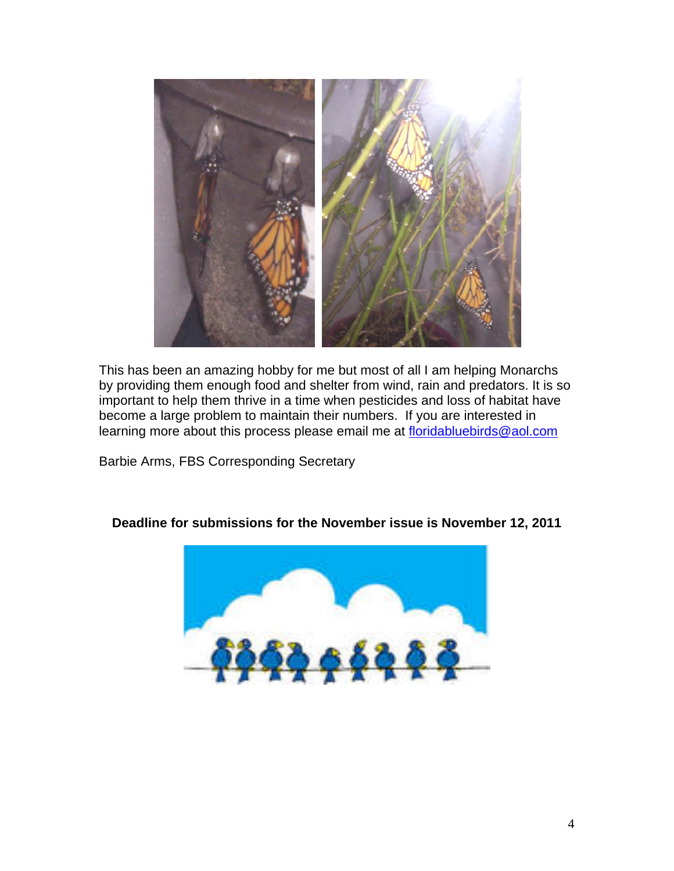

This has been an amazing hobby for me but most of all I am helping Monarchs by providing them enough food and shelter from wind, rain and predators. It is so important to help them thrive in a time when pesticides and loss of habitat have become a large problem to maintain their numbers. If you are interested in learning more about this process please email me at floridabluebirds@aol.com

Barbie Arms, FBS Corresponding Secretary

# **Deadline for submissions for the November issue is November 12, 2011**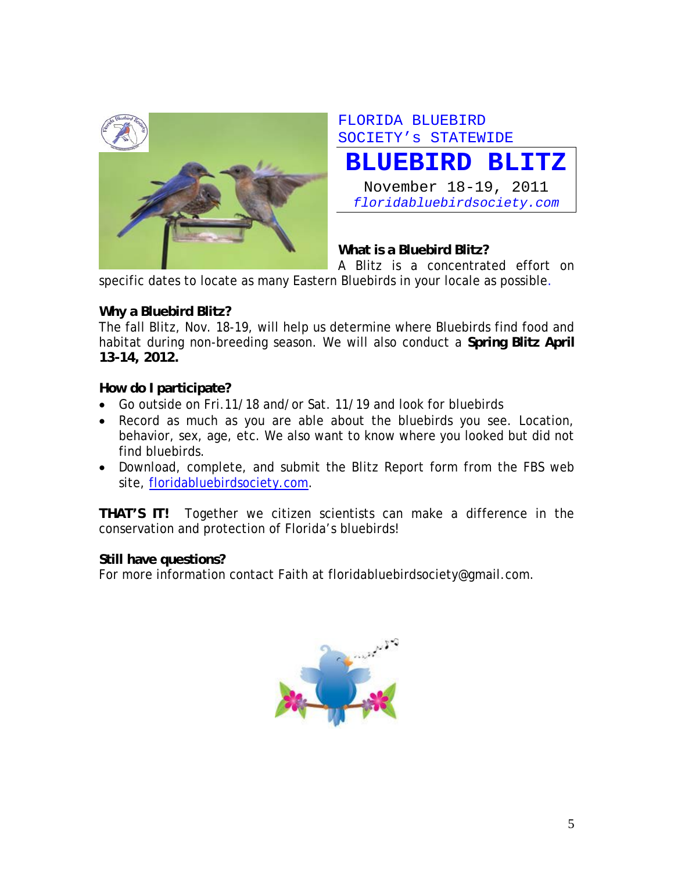

FLORIDA BLUEBIRD SOCIETY's STATEWIDE

**BLUEBIRD BLITZ**

November 18-19, 2011 *floridabluebirdsociety.com*

# **What is a Bluebird Blitz?**

A Blitz is a concentrated effort on

specific dates to locate as many Eastern Bluebirds in your locale as possible.

# **Why a Bluebird Blitz?**

The fall Blitz, Nov. 18-19, will help us determine where Bluebirds find food and habitat during non-breeding season. We will also conduct a **Spring Blitz April 13-14, 2012.** 

# **How do I participate?**

- Go outside on Fri.11/18 and/or Sat. 11/19 and look for bluebirds
- Record as much as you are able about the bluebirds you see. Location, behavior, sex, age, etc. We also want to know where you looked but did not find bluebirds.
- Download, complete, and submit the Blitz Report form from the FBS web site, floridabluebirdsociety.com.

**THAT'S IT!** Together we citizen scientists can make a difference in the conservation and protection of Florida's bluebirds!

# **Still have questions?**

For more information contact Faith at floridabluebirdsociety@gmail.com.

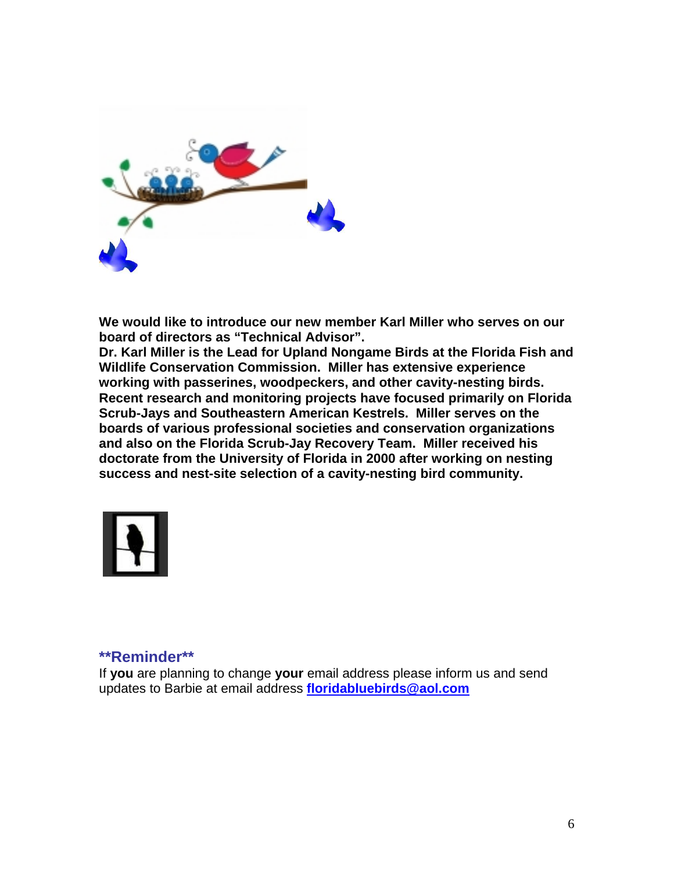

**We would like to introduce our new member Karl Miller who serves on our board of directors as "Technical Advisor".** 

**Dr. Karl Miller is the Lead for Upland Nongame Birds at the Florida Fish and Wildlife Conservation Commission. Miller has extensive experience working with passerines, woodpeckers, and other cavity-nesting birds. Recent research and monitoring projects have focused primarily on Florida Scrub-Jays and Southeastern American Kestrels. Miller serves on the boards of various professional societies and conservation organizations and also on the Florida Scrub-Jay Recovery Team. Miller received his doctorate from the University of Florida in 2000 after working on nesting success and nest-site selection of a cavity-nesting bird community.** 



### **\*\*Reminder\*\***

If **you** are planning to change **your** email address please inform us and send updates to Barbie at email address **floridabluebirds@aol.com**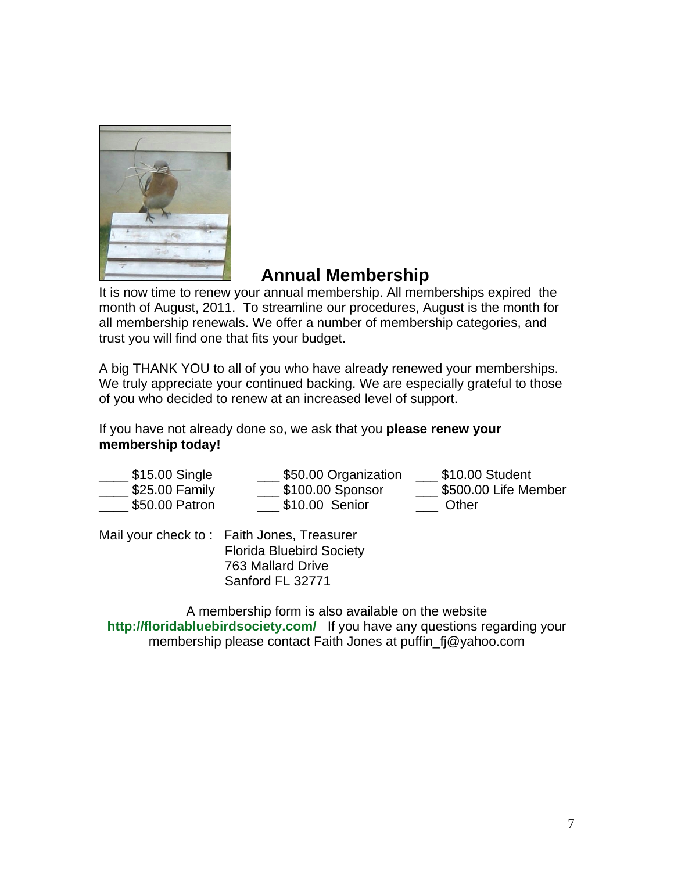

# **Annual Membership**

It is now time to renew your annual membership. All memberships expired the month of August, 2011. To streamline our procedures, August is the month for all membership renewals. We offer a number of membership categories, and trust you will find one that fits your budget.

A big THANK YOU to all of you who have already renewed your memberships. We truly appreciate your continued backing. We are especially grateful to those of you who decided to renew at an increased level of support.

If you have not already done so, we ask that you **please renew your membership today!**

| $$15.00$ Single              | \$50.00 Organization | \$10.00 Student      |
|------------------------------|----------------------|----------------------|
| $\frac{1}{2}$ \$25.00 Family | \$100.00 Sponsor     | \$500.00 Life Member |
| \$50.00 Patron               | \$10.00 Senior       | Other                |

Mail your check to : Faith Jones, Treasurer Florida Bluebird Society 763 Mallard Drive Sanford FL 32771

A membership form is also available on the website **http://floridabluebirdsociety.com/** If you have any questions regarding your membership please contact Faith Jones at puffin\_fj@yahoo.com